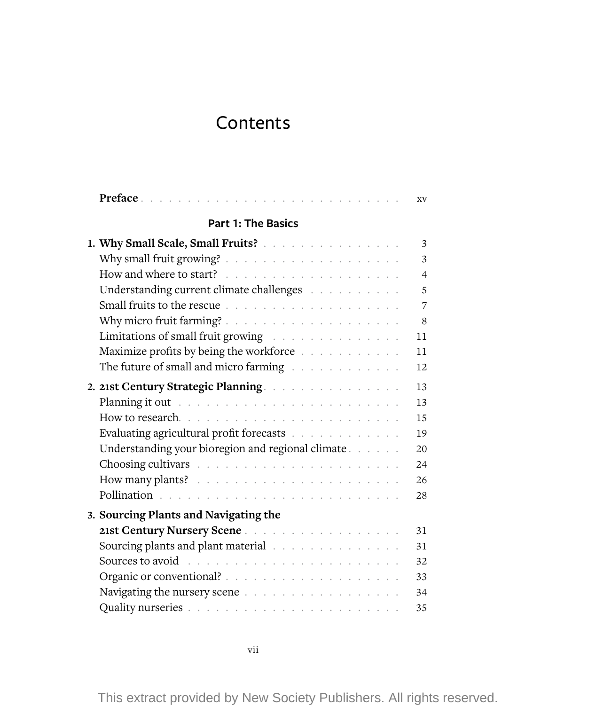## Contents

| Preface                                                                                                                                                                                                                        | XV             |
|--------------------------------------------------------------------------------------------------------------------------------------------------------------------------------------------------------------------------------|----------------|
| <b>Part 1: The Basics</b>                                                                                                                                                                                                      |                |
| 1. Why Small Scale, Small Fruits?                                                                                                                                                                                              | 3              |
|                                                                                                                                                                                                                                | 3              |
|                                                                                                                                                                                                                                | $\overline{4}$ |
|                                                                                                                                                                                                                                | 5              |
|                                                                                                                                                                                                                                | 7              |
|                                                                                                                                                                                                                                | 8              |
| Limitations of small fruit growing                                                                                                                                                                                             | 11             |
| Maximize profits by being the workforce                                                                                                                                                                                        | 11             |
| The future of small and micro farming with a subset of small and micro farming with a subset of the state of the state of the state of the state of the state of the state of the state of the state of the state of the state | 12             |
| 2. 21st Century Strategic Planning.                                                                                                                                                                                            | 13             |
| Planning it out research and contained a series of the planning it out research and containing the series of the                                                                                                               | 13             |
|                                                                                                                                                                                                                                | 15             |
| Evaluating agricultural profit forecasts                                                                                                                                                                                       | 19             |
| Understanding your bioregion and regional climate                                                                                                                                                                              | 20             |
|                                                                                                                                                                                                                                | 24             |
|                                                                                                                                                                                                                                | 26             |
|                                                                                                                                                                                                                                | 28             |
| 3. Sourcing Plants and Navigating the                                                                                                                                                                                          |                |
| 21st Century Nursery Scene                                                                                                                                                                                                     | 31             |
| Sourcing plants and plant material with a subset of the set of the set of the set of the set of the set of the set of the set of the set of the set of the set of the set of the set of the set of the set of the set of the s | 31             |
|                                                                                                                                                                                                                                | 32             |
|                                                                                                                                                                                                                                | 33             |
|                                                                                                                                                                                                                                | 34             |
|                                                                                                                                                                                                                                | 35             |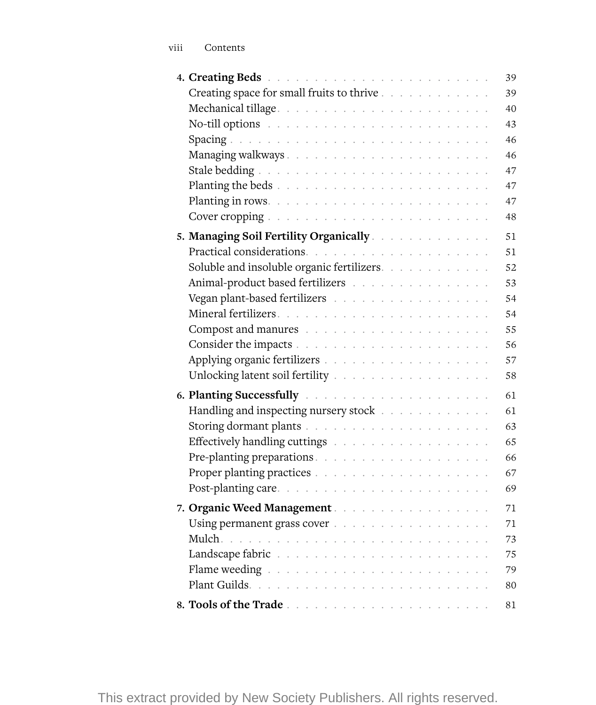|                                                                                                                                                                                                                                |  |  |  |  |  | 39 |
|--------------------------------------------------------------------------------------------------------------------------------------------------------------------------------------------------------------------------------|--|--|--|--|--|----|
| Creating space for small fruits to thrive                                                                                                                                                                                      |  |  |  |  |  | 39 |
|                                                                                                                                                                                                                                |  |  |  |  |  | 40 |
| No-till options research research research research research                                                                                                                                                                   |  |  |  |  |  | 43 |
|                                                                                                                                                                                                                                |  |  |  |  |  | 46 |
|                                                                                                                                                                                                                                |  |  |  |  |  | 46 |
|                                                                                                                                                                                                                                |  |  |  |  |  | 47 |
| Planting the beds $\ldots \ldots \ldots \ldots \ldots \ldots \ldots \ldots \ldots \ldots$                                                                                                                                      |  |  |  |  |  | 47 |
|                                                                                                                                                                                                                                |  |  |  |  |  | 47 |
|                                                                                                                                                                                                                                |  |  |  |  |  | 48 |
| 5. Managing Soil Fertility Organically                                                                                                                                                                                         |  |  |  |  |  | 51 |
|                                                                                                                                                                                                                                |  |  |  |  |  | 51 |
| Soluble and insoluble organic fertilizers.                                                                                                                                                                                     |  |  |  |  |  | 52 |
| Animal-product based fertilizers                                                                                                                                                                                               |  |  |  |  |  | 53 |
| Vegan plant-based fertilizers with a subset of the set of the set of the set of the set of the set of the set of the set of the set of the set of the set of the set of the set of the set of the set of the set of the set of |  |  |  |  |  | 54 |
|                                                                                                                                                                                                                                |  |  |  |  |  | 54 |
|                                                                                                                                                                                                                                |  |  |  |  |  | 55 |
|                                                                                                                                                                                                                                |  |  |  |  |  | 56 |
|                                                                                                                                                                                                                                |  |  |  |  |  | 57 |
| Unlocking latent soil fertility $\ldots \ldots \ldots \ldots \ldots \ldots \ldots \ldots$                                                                                                                                      |  |  |  |  |  | 58 |
|                                                                                                                                                                                                                                |  |  |  |  |  | 61 |
| Handling and inspecting nursery stock                                                                                                                                                                                          |  |  |  |  |  | 61 |
|                                                                                                                                                                                                                                |  |  |  |  |  | 63 |
| Effectively handling cuttings                                                                                                                                                                                                  |  |  |  |  |  | 65 |
|                                                                                                                                                                                                                                |  |  |  |  |  | 66 |
|                                                                                                                                                                                                                                |  |  |  |  |  | 67 |
|                                                                                                                                                                                                                                |  |  |  |  |  | 69 |
| 7. Organic Weed Management                                                                                                                                                                                                     |  |  |  |  |  | 71 |
| Using permanent grass cover                                                                                                                                                                                                    |  |  |  |  |  | 71 |
|                                                                                                                                                                                                                                |  |  |  |  |  | 73 |
|                                                                                                                                                                                                                                |  |  |  |  |  | 75 |
|                                                                                                                                                                                                                                |  |  |  |  |  | 79 |
|                                                                                                                                                                                                                                |  |  |  |  |  | 80 |
|                                                                                                                                                                                                                                |  |  |  |  |  | 81 |
|                                                                                                                                                                                                                                |  |  |  |  |  |    |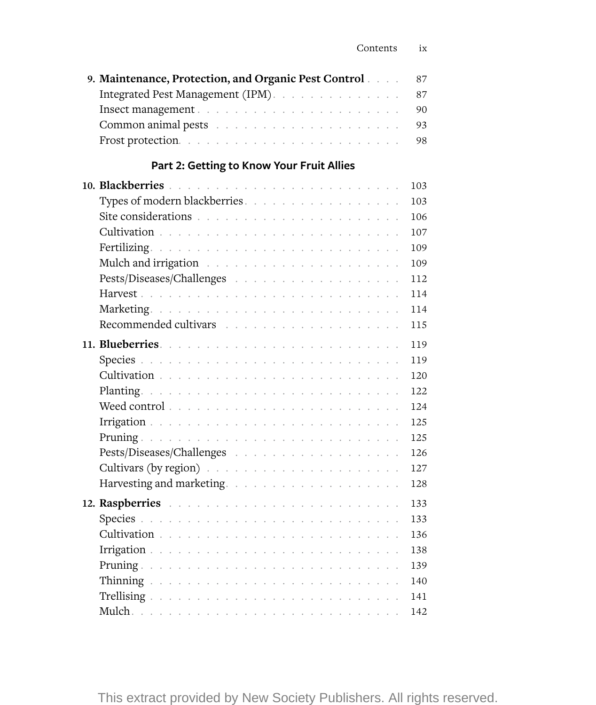| 9. Maintenance, Protection, and Organic Pest Control |  |  | 87  |
|------------------------------------------------------|--|--|-----|
| Integrated Pest Management (IPM).                    |  |  | 87  |
|                                                      |  |  | 90  |
|                                                      |  |  | 93  |
|                                                      |  |  | 98  |
| Part 2: Getting to Know Your Fruit Allies            |  |  |     |
|                                                      |  |  | 103 |
| Types of modern blackberries.                        |  |  | 103 |
|                                                      |  |  | 106 |
|                                                      |  |  | 107 |
|                                                      |  |  | 109 |
|                                                      |  |  | 109 |
| Pests/Diseases/Challenges                            |  |  | 112 |
| $\mathcal{L}_{\mathbf{a}}$                           |  |  | 114 |
|                                                      |  |  | 114 |
|                                                      |  |  | 115 |
|                                                      |  |  | 119 |
|                                                      |  |  | 119 |
| Cultivation<br>$\bar{z}$<br>$\bar{z}$                |  |  | 120 |
|                                                      |  |  | 122 |
|                                                      |  |  | 124 |
|                                                      |  |  | 125 |
|                                                      |  |  | 125 |
|                                                      |  |  | 126 |
|                                                      |  |  | 127 |
|                                                      |  |  | 128 |
|                                                      |  |  | 133 |
|                                                      |  |  | 133 |
|                                                      |  |  | 136 |
|                                                      |  |  | 138 |
|                                                      |  |  | 139 |
| $\bar{z}$                                            |  |  | 140 |
|                                                      |  |  | 141 |
|                                                      |  |  | 142 |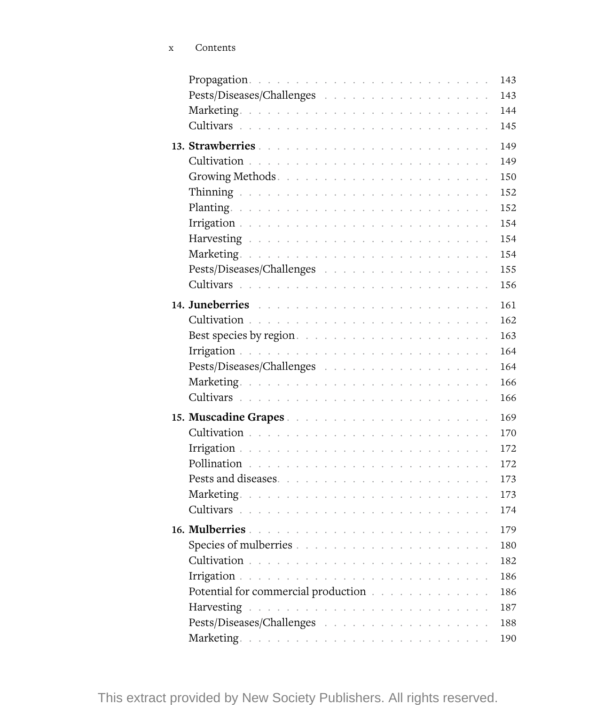|                                                                                                                                                                                                                                |  |  |  |  |  |  |  |  | 143 |
|--------------------------------------------------------------------------------------------------------------------------------------------------------------------------------------------------------------------------------|--|--|--|--|--|--|--|--|-----|
|                                                                                                                                                                                                                                |  |  |  |  |  |  |  |  | 143 |
|                                                                                                                                                                                                                                |  |  |  |  |  |  |  |  | 144 |
|                                                                                                                                                                                                                                |  |  |  |  |  |  |  |  | 145 |
|                                                                                                                                                                                                                                |  |  |  |  |  |  |  |  | 149 |
|                                                                                                                                                                                                                                |  |  |  |  |  |  |  |  | 149 |
|                                                                                                                                                                                                                                |  |  |  |  |  |  |  |  | 150 |
|                                                                                                                                                                                                                                |  |  |  |  |  |  |  |  | 152 |
|                                                                                                                                                                                                                                |  |  |  |  |  |  |  |  | 152 |
|                                                                                                                                                                                                                                |  |  |  |  |  |  |  |  | 154 |
|                                                                                                                                                                                                                                |  |  |  |  |  |  |  |  | 154 |
|                                                                                                                                                                                                                                |  |  |  |  |  |  |  |  | 154 |
|                                                                                                                                                                                                                                |  |  |  |  |  |  |  |  | 155 |
|                                                                                                                                                                                                                                |  |  |  |  |  |  |  |  | 156 |
|                                                                                                                                                                                                                                |  |  |  |  |  |  |  |  | 161 |
|                                                                                                                                                                                                                                |  |  |  |  |  |  |  |  | 162 |
| Best species by region                                                                                                                                                                                                         |  |  |  |  |  |  |  |  | 163 |
|                                                                                                                                                                                                                                |  |  |  |  |  |  |  |  | 164 |
| Pests/Diseases/Challenges                                                                                                                                                                                                      |  |  |  |  |  |  |  |  | 164 |
|                                                                                                                                                                                                                                |  |  |  |  |  |  |  |  | 166 |
|                                                                                                                                                                                                                                |  |  |  |  |  |  |  |  | 166 |
|                                                                                                                                                                                                                                |  |  |  |  |  |  |  |  | 169 |
|                                                                                                                                                                                                                                |  |  |  |  |  |  |  |  | 170 |
|                                                                                                                                                                                                                                |  |  |  |  |  |  |  |  | 172 |
|                                                                                                                                                                                                                                |  |  |  |  |  |  |  |  | 172 |
|                                                                                                                                                                                                                                |  |  |  |  |  |  |  |  | 173 |
|                                                                                                                                                                                                                                |  |  |  |  |  |  |  |  | 173 |
|                                                                                                                                                                                                                                |  |  |  |  |  |  |  |  | 174 |
|                                                                                                                                                                                                                                |  |  |  |  |  |  |  |  | 179 |
|                                                                                                                                                                                                                                |  |  |  |  |  |  |  |  | 180 |
|                                                                                                                                                                                                                                |  |  |  |  |  |  |  |  | 182 |
|                                                                                                                                                                                                                                |  |  |  |  |  |  |  |  | 186 |
| Potential for commercial production with a series of the series of the series of the series of the series of the series of the series of the series of the series of the series of the series of the series of the series of t |  |  |  |  |  |  |  |  | 186 |
|                                                                                                                                                                                                                                |  |  |  |  |  |  |  |  | 187 |
|                                                                                                                                                                                                                                |  |  |  |  |  |  |  |  | 188 |
|                                                                                                                                                                                                                                |  |  |  |  |  |  |  |  | 190 |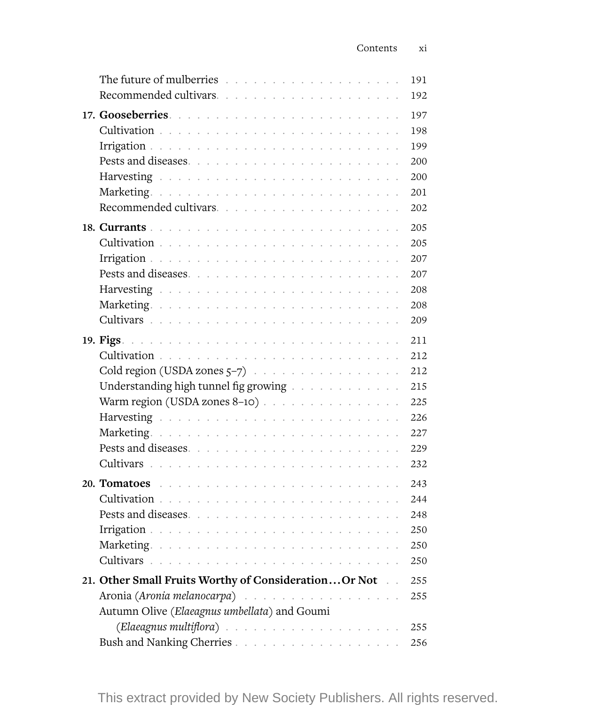| The future of mulberries we are a contracted with the future of mulberries we are a contracted with the future |  | 191 |
|----------------------------------------------------------------------------------------------------------------|--|-----|
|                                                                                                                |  | 192 |
|                                                                                                                |  | 197 |
|                                                                                                                |  | 198 |
|                                                                                                                |  | 199 |
|                                                                                                                |  | 200 |
|                                                                                                                |  | 200 |
|                                                                                                                |  | 201 |
|                                                                                                                |  | 202 |
|                                                                                                                |  | 205 |
|                                                                                                                |  | 205 |
|                                                                                                                |  | 207 |
|                                                                                                                |  | 207 |
|                                                                                                                |  | 208 |
|                                                                                                                |  | 208 |
|                                                                                                                |  | 209 |
|                                                                                                                |  | 211 |
|                                                                                                                |  | 212 |
| Cold region (USDA zones $5-7$ ) $\cdots$ $\cdots$ $\cdots$ $\cdots$ $\cdots$                                   |  | 212 |
| Understanding high tunnel fig growing with a subset of the state of the United States and Taracaster           |  | 215 |
| Warm region (USDA zones 8-10)                                                                                  |  | 225 |
|                                                                                                                |  | 226 |
|                                                                                                                |  | 227 |
| Pests and diseases                                                                                             |  | 229 |
|                                                                                                                |  | 232 |
|                                                                                                                |  | 243 |
|                                                                                                                |  | 244 |
|                                                                                                                |  | 248 |
|                                                                                                                |  | 250 |
|                                                                                                                |  | 250 |
|                                                                                                                |  | 250 |
| 21. Other Small Fruits Worthy of ConsiderationOr Not.                                                          |  | 255 |
| Aronia (Aronia melanocarpa)                                                                                    |  | 255 |
| Autumn Olive (Elaeagnus umbellata) and Goumi                                                                   |  |     |
|                                                                                                                |  |     |
|                                                                                                                |  | 256 |

This extract provided by New Society Publishers. All rights reserved.